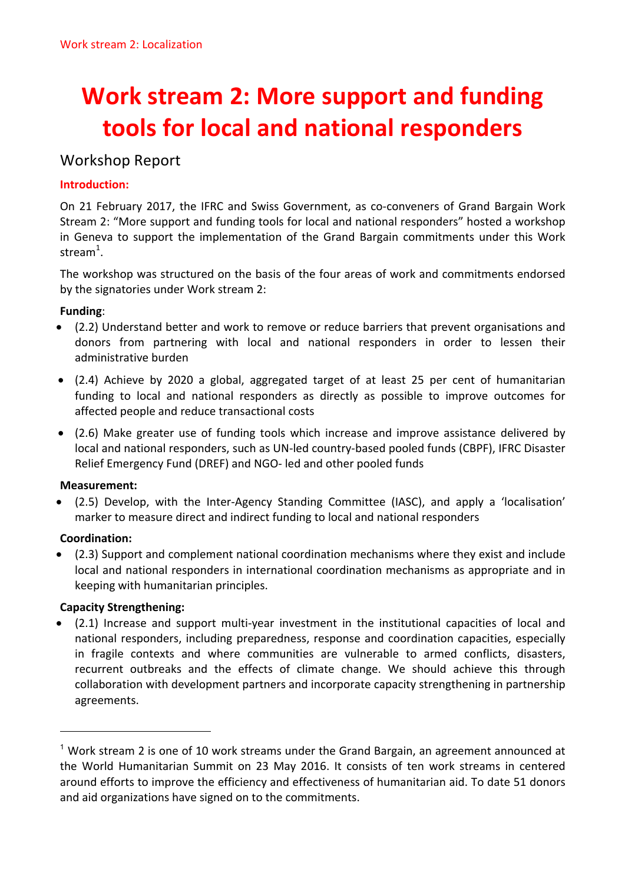# **Work stream 2: More support and funding tools for local and national responders**

## Workshop Report

## **Introduction:**

On 21 February 2017, the IFRC and Swiss Government, as co-conveners of Grand Bargain Work Stream 2: "More support and funding tools for local and national responders" hosted a workshop in Geneva to support the implementation of the Grand Bargain commitments under this Work stream $^1$ .

The workshop was structured on the basis of the four areas of work and commitments endorsed by the signatories under Work stream 2:

## **Funding**:

- (2.2) Understand better and work to remove or reduce barriers that prevent organisations and donors from partnering with local and national responders in order to lessen their administrative burden
- (2.4) Achieve by 2020 a global, aggregated target of at least 25 per cent of humanitarian funding to local and national responders as directly as possible to improve outcomes for affected people and reduce transactional costs
- (2.6) Make greater use of funding tools which increase and improve assistance delivered by local and national responders, such as UN-led country-based pooled funds (CBPF), IFRC Disaster Relief Emergency Fund (DREF) and NGO- led and other pooled funds

## **Measurement:**

• (2.5) Develop, with the Inter-Agency Standing Committee (IASC), and apply a 'localisation' marker to measure direct and indirect funding to local and national responders

## **Coordination:**

(2.3) Support and complement national coordination mechanisms where they exist and include local and national responders in international coordination mechanisms as appropriate and in keeping with humanitarian principles.

## **Capacity Strengthening:**

(2.1) Increase and support multi-year investment in the institutional capacities of local and national responders, including preparedness, response and coordination capacities, especially in fragile contexts and where communities are vulnerable to armed conflicts, disasters, recurrent outbreaks and the effects of climate change. We should achieve this through collaboration with development partners and incorporate capacity strengthening in partnership agreements.

 $1$  Work stream 2 is one of 10 work streams under the Grand Bargain, an agreement announced at the World Humanitarian Summit on 23 May 2016. It consists of ten work streams in centered around efforts to improve the efficiency and effectiveness of humanitarian aid. To date 51 donors and aid organizations have signed on to the commitments.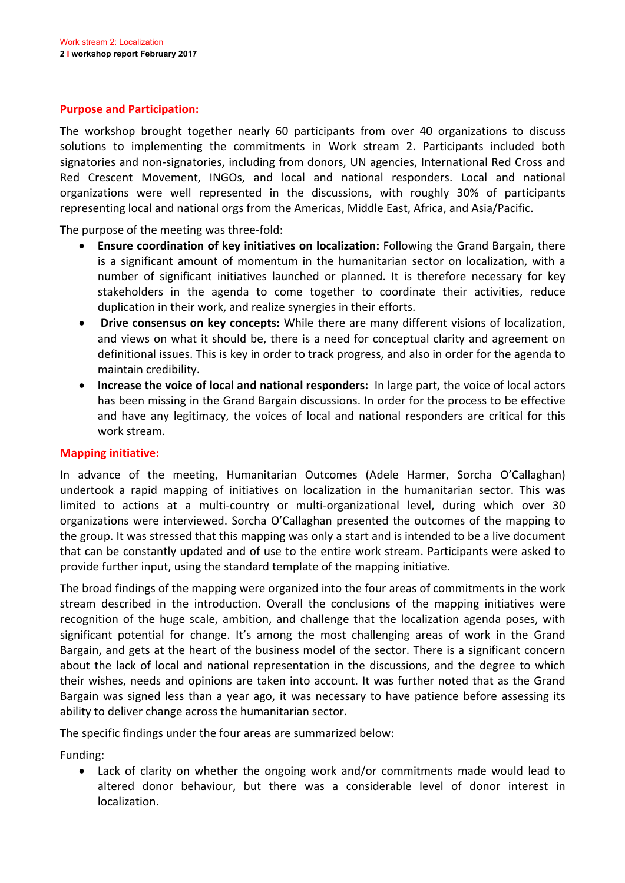#### **Purpose and Participation:**

The workshop brought together nearly 60 participants from over 40 organizations to discuss solutions to implementing the commitments in Work stream 2. Participants included both signatories and non-signatories, including from donors, UN agencies, International Red Cross and Red Crescent Movement, INGOs, and local and national responders. Local and national organizations were well represented in the discussions, with roughly 30% of participants representing local and national orgs from the Americas, Middle East, Africa, and Asia/Pacific.

The purpose of the meeting was three-fold:

- **Ensure coordination of key initiatives on localization:** Following the Grand Bargain, there is a significant amount of momentum in the humanitarian sector on localization, with a number of significant initiatives launched or planned. It is therefore necessary for key stakeholders in the agenda to come together to coordinate their activities, reduce duplication in their work, and realize synergies in their efforts.
- Drive consensus on key concepts: While there are many different visions of localization, and views on what it should be, there is a need for conceptual clarity and agreement on definitional issues. This is key in order to track progress, and also in order for the agenda to maintain credibility.
- **Increase the voice of local and national responders:** In large part, the voice of local actors has been missing in the Grand Bargain discussions. In order for the process to be effective and have any legitimacy, the voices of local and national responders are critical for this work stream.

#### **Mapping initiative:**

In advance of the meeting, Humanitarian Outcomes (Adele Harmer, Sorcha O'Callaghan) undertook a rapid mapping of initiatives on localization in the humanitarian sector. This was limited to actions at a multi-country or multi-organizational level, during which over 30 organizations were interviewed. Sorcha O'Callaghan presented the outcomes of the mapping to the group. It was stressed that this mapping was only a start and is intended to be a live document that can be constantly updated and of use to the entire work stream. Participants were asked to provide further input, using the standard template of the mapping initiative.

The broad findings of the mapping were organized into the four areas of commitments in the work stream described in the introduction. Overall the conclusions of the mapping initiatives were recognition of the huge scale, ambition, and challenge that the localization agenda poses, with significant potential for change. It's among the most challenging areas of work in the Grand Bargain, and gets at the heart of the business model of the sector. There is a significant concern about the lack of local and national representation in the discussions, and the degree to which their wishes, needs and opinions are taken into account. It was further noted that as the Grand Bargain was signed less than a year ago, it was necessary to have patience before assessing its ability to deliver change across the humanitarian sector.

The specific findings under the four areas are summarized below:

Funding:

• Lack of clarity on whether the ongoing work and/or commitments made would lead to altered donor behaviour, but there was a considerable level of donor interest in localization.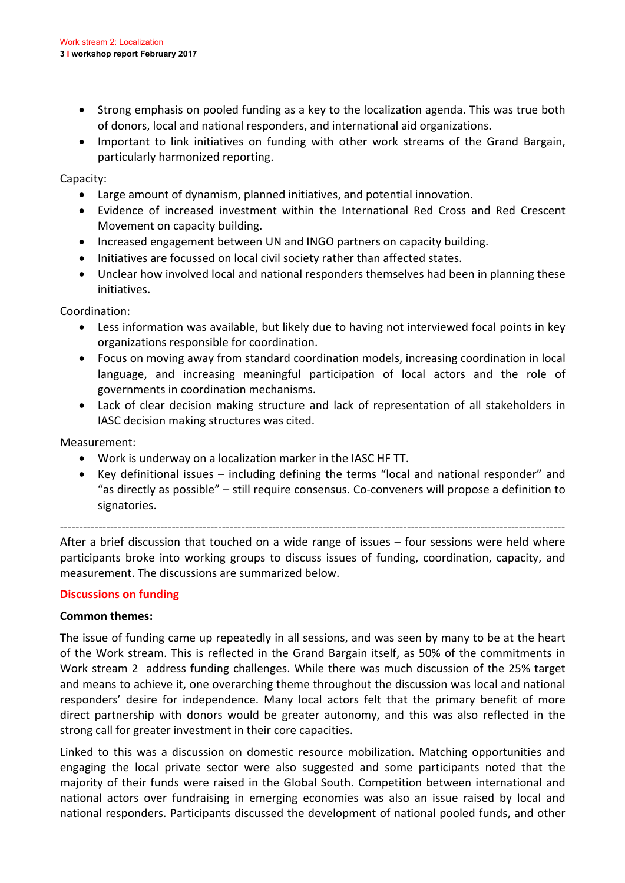- Strong emphasis on pooled funding as a key to the localization agenda. This was true both of donors, local and national responders, and international aid organizations.
- Important to link initiatives on funding with other work streams of the Grand Bargain, particularly harmonized reporting.

Capacity:

- Large amount of dynamism, planned initiatives, and potential innovation.
- Evidence of increased investment within the International Red Cross and Red Crescent Movement on capacity building.
- Increased engagement between UN and INGO partners on capacity building.
- Initiatives are focussed on local civil society rather than affected states.
- Unclear how involved local and national responders themselves had been in planning these initiatives.

Coordination:

- Less information was available, but likely due to having not interviewed focal points in key organizations responsible for coordination.
- Focus on moving away from standard coordination models, increasing coordination in local language, and increasing meaningful participation of local actors and the role of governments in coordination mechanisms.
- Lack of clear decision making structure and lack of representation of all stakeholders in IASC decision making structures was cited.

Measurement:

- Work is underway on a localization marker in the IASC HF TT.
- Key definitional issues including defining the terms "local and national responder" and "as directly as possible" – still require consensus. Co-conveners will propose a definition to signatories.

-----------------------------------------------------------------------------------------------------------------------------------

After a brief discussion that touched on a wide range of issues  $-$  four sessions were held where participants broke into working groups to discuss issues of funding, coordination, capacity, and measurement. The discussions are summarized below.

#### **Discussions on funding**

#### **Common themes:**

The issue of funding came up repeatedly in all sessions, and was seen by many to be at the heart of the Work stream. This is reflected in the Grand Bargain itself, as 50% of the commitments in Work stream 2 address funding challenges. While there was much discussion of the 25% target and means to achieve it, one overarching theme throughout the discussion was local and national responders' desire for independence. Many local actors felt that the primary benefit of more direct partnership with donors would be greater autonomy, and this was also reflected in the strong call for greater investment in their core capacities.

Linked to this was a discussion on domestic resource mobilization. Matching opportunities and engaging the local private sector were also suggested and some participants noted that the majority of their funds were raised in the Global South. Competition between international and national actors over fundraising in emerging economies was also an issue raised by local and national responders. Participants discussed the development of national pooled funds, and other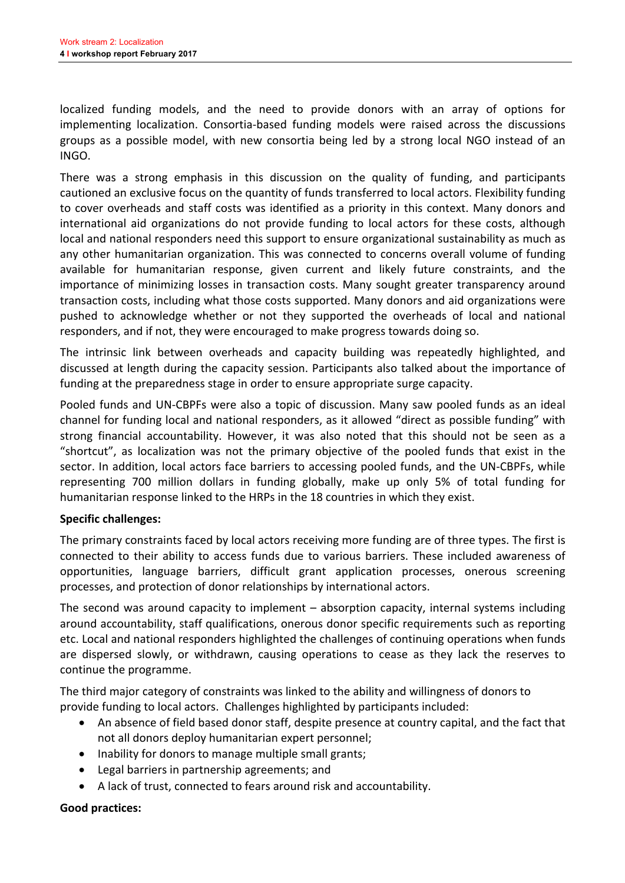localized funding models, and the need to provide donors with an array of options for implementing localization. Consortia-based funding models were raised across the discussions groups as a possible model, with new consortia being led by a strong local NGO instead of an INGO.

There was a strong emphasis in this discussion on the quality of funding, and participants cautioned an exclusive focus on the quantity of funds transferred to local actors. Flexibility funding to cover overheads and staff costs was identified as a priority in this context. Many donors and international aid organizations do not provide funding to local actors for these costs, although local and national responders need this support to ensure organizational sustainability as much as any other humanitarian organization. This was connected to concerns overall volume of funding available for humanitarian response, given current and likely future constraints, and the importance of minimizing losses in transaction costs. Many sought greater transparency around transaction costs, including what those costs supported. Many donors and aid organizations were pushed to acknowledge whether or not they supported the overheads of local and national responders, and if not, they were encouraged to make progress towards doing so.

The intrinsic link between overheads and capacity building was repeatedly highlighted, and discussed at length during the capacity session. Participants also talked about the importance of funding at the preparedness stage in order to ensure appropriate surge capacity.

Pooled funds and UN-CBPFs were also a topic of discussion. Many saw pooled funds as an ideal channel for funding local and national responders, as it allowed "direct as possible funding" with strong financial accountability. However, it was also noted that this should not be seen as a "shortcut", as localization was not the primary objective of the pooled funds that exist in the sector. In addition, local actors face barriers to accessing pooled funds, and the UN-CBPFs, while representing 700 million dollars in funding globally, make up only 5% of total funding for humanitarian response linked to the HRPs in the 18 countries in which they exist.

#### **Specific challenges:**

The primary constraints faced by local actors receiving more funding are of three types. The first is connected to their ability to access funds due to various barriers. These included awareness of opportunities, language barriers, difficult grant application processes, onerous screening processes, and protection of donor relationships by international actors.

The second was around capacity to implement  $-$  absorption capacity, internal systems including around accountability, staff qualifications, onerous donor specific requirements such as reporting etc. Local and national responders highlighted the challenges of continuing operations when funds are dispersed slowly, or withdrawn, causing operations to cease as they lack the reserves to continue the programme.

The third major category of constraints was linked to the ability and willingness of donors to provide funding to local actors. Challenges highlighted by participants included:

- An absence of field based donor staff, despite presence at country capital, and the fact that not all donors deploy humanitarian expert personnel;
- Inability for donors to manage multiple small grants;
- Legal barriers in partnership agreements; and
- A lack of trust, connected to fears around risk and accountability.

#### **Good practices:**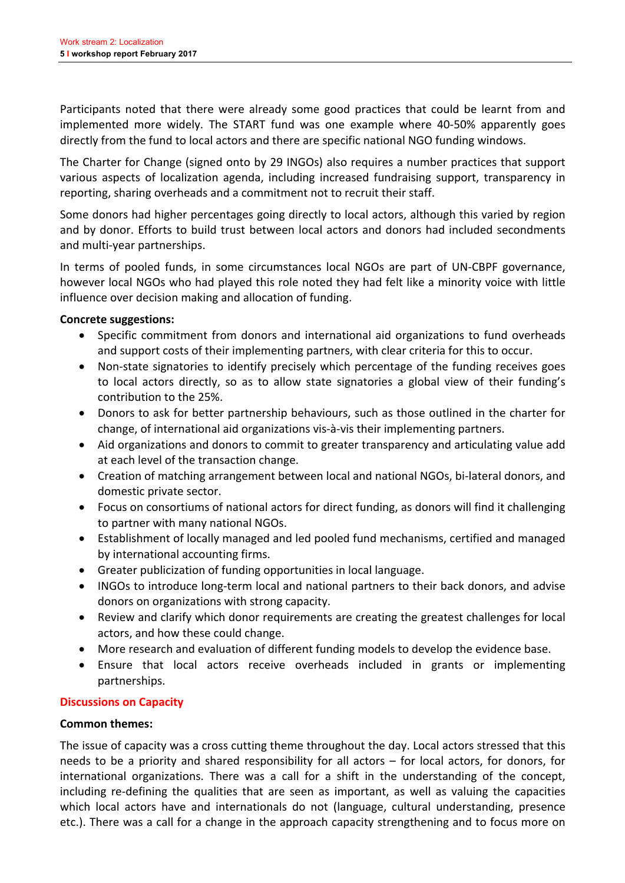Participants noted that there were already some good practices that could be learnt from and implemented more widely. The START fund was one example where 40-50% apparently goes directly from the fund to local actors and there are specific national NGO funding windows.

The Charter for Change (signed onto by 29 INGOs) also requires a number practices that support various aspects of localization agenda, including increased fundraising support, transparency in reporting, sharing overheads and a commitment not to recruit their staff.

Some donors had higher percentages going directly to local actors, although this varied by region and by donor. Efforts to build trust between local actors and donors had included secondments and multi-year partnerships.

In terms of pooled funds, in some circumstances local NGOs are part of UN-CBPF governance, however local NGOs who had played this role noted they had felt like a minority voice with little influence over decision making and allocation of funding.

#### **Concrete suggestions:**

- Specific commitment from donors and international aid organizations to fund overheads and support costs of their implementing partners, with clear criteria for this to occur.
- Non-state signatories to identify precisely which percentage of the funding receives goes to local actors directly, so as to allow state signatories a global view of their funding's contribution to the 25%.
- Donors to ask for better partnership behaviours, such as those outlined in the charter for change, of international aid organizations vis-à-vis their implementing partners.
- Aid organizations and donors to commit to greater transparency and articulating value add at each level of the transaction change.
- Creation of matching arrangement between local and national NGOs, bi-lateral donors, and domestic private sector.
- Focus on consortiums of national actors for direct funding, as donors will find it challenging to partner with many national NGOs.
- Establishment of locally managed and led pooled fund mechanisms, certified and managed by international accounting firms.
- Greater publicization of funding opportunities in local language.
- INGOs to introduce long-term local and national partners to their back donors, and advise donors on organizations with strong capacity.
- Review and clarify which donor requirements are creating the greatest challenges for local actors, and how these could change.
- More research and evaluation of different funding models to develop the evidence base.
- Ensure that local actors receive overheads included in grants or implementing partnerships.

#### **Discussions on Capacity**

#### **Common themes:**

The issue of capacity was a cross cutting theme throughout the day. Local actors stressed that this needs to be a priority and shared responsibility for all actors  $-$  for local actors, for donors, for international organizations. There was a call for a shift in the understanding of the concept. including re-defining the qualities that are seen as important, as well as valuing the capacities which local actors have and internationals do not (language, cultural understanding, presence etc.). There was a call for a change in the approach capacity strengthening and to focus more on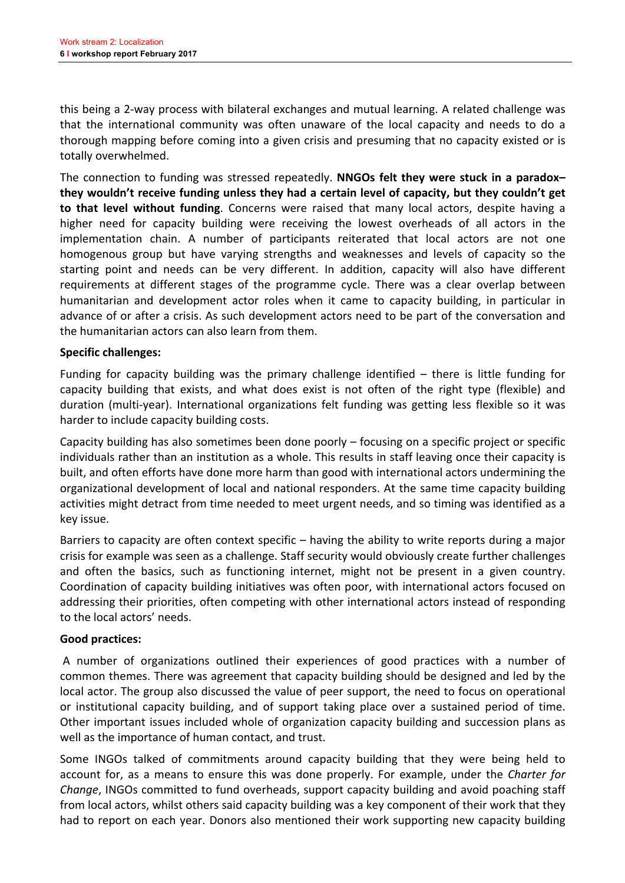this being a 2-way process with bilateral exchanges and mutual learning. A related challenge was that the international community was often unaware of the local capacity and needs to do a thorough mapping before coming into a given crisis and presuming that no capacity existed or is totally overwhelmed.

The connection to funding was stressed repeatedly. **NNGOs felt they were stuck in a paradox**they wouldn't receive funding unless they had a certain level of capacity, but they couldn't get **to that level without funding**. Concerns were raised that many local actors, despite having a higher need for capacity building were receiving the lowest overheads of all actors in the implementation chain. A number of participants reiterated that local actors are not one homogenous group but have varying strengths and weaknesses and levels of capacity so the starting point and needs can be very different. In addition, capacity will also have different requirements at different stages of the programme cycle. There was a clear overlap between humanitarian and development actor roles when it came to capacity building, in particular in advance of or after a crisis. As such development actors need to be part of the conversation and the humanitarian actors can also learn from them.

#### **Specific challenges:**

Funding for capacity building was the primary challenge identified  $-$  there is little funding for capacity building that exists, and what does exist is not often of the right type (flexible) and duration (multi-year). International organizations felt funding was getting less flexible so it was harder to include capacity building costs.

Capacity building has also sometimes been done poorly  $-$  focusing on a specific project or specific individuals rather than an institution as a whole. This results in staff leaving once their capacity is built, and often efforts have done more harm than good with international actors undermining the organizational development of local and national responders. At the same time capacity building activities might detract from time needed to meet urgent needs, and so timing was identified as a key issue.

Barriers to capacity are often context specific  $-$  having the ability to write reports during a major crisis for example was seen as a challenge. Staff security would obviously create further challenges and often the basics, such as functioning internet, might not be present in a given country. Coordination of capacity building initiatives was often poor, with international actors focused on addressing their priorities, often competing with other international actors instead of responding to the local actors' needs.

#### **Good practices:**

A number of organizations outlined their experiences of good practices with a number of common themes. There was agreement that capacity building should be designed and led by the local actor. The group also discussed the value of peer support, the need to focus on operational or institutional capacity building, and of support taking place over a sustained period of time. Other important issues included whole of organization capacity building and succession plans as well as the importance of human contact, and trust.

Some INGOs talked of commitments around capacity building that they were being held to account for, as a means to ensure this was done properly. For example, under the *Charter for Change*, INGOs committed to fund overheads, support capacity building and avoid poaching staff from local actors, whilst others said capacity building was a key component of their work that they had to report on each year. Donors also mentioned their work supporting new capacity building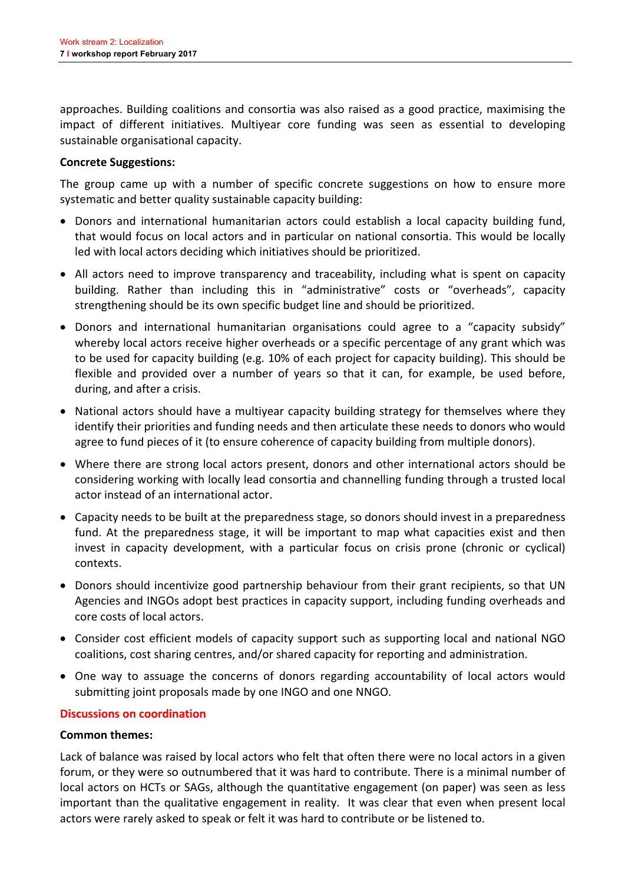approaches. Building coalitions and consortia was also raised as a good practice, maximising the impact of different initiatives. Multiyear core funding was seen as essential to developing sustainable organisational capacity.

#### **Concrete Suggestions:**

The group came up with a number of specific concrete suggestions on how to ensure more systematic and better quality sustainable capacity building:

- Donors and international humanitarian actors could establish a local capacity building fund, that would focus on local actors and in particular on national consortia. This would be locally led with local actors deciding which initiatives should be prioritized.
- All actors need to improve transparency and traceability, including what is spent on capacity building. Rather than including this in "administrative" costs or "overheads", capacity strengthening should be its own specific budget line and should be prioritized.
- Donors and international humanitarian organisations could agree to a "capacity subsidy" whereby local actors receive higher overheads or a specific percentage of any grant which was to be used for capacity building (e.g. 10% of each project for capacity building). This should be flexible and provided over a number of years so that it can, for example, be used before, during, and after a crisis.
- National actors should have a multiyear capacity building strategy for themselves where they identify their priorities and funding needs and then articulate these needs to donors who would agree to fund pieces of it (to ensure coherence of capacity building from multiple donors).
- Where there are strong local actors present, donors and other international actors should be considering working with locally lead consortia and channelling funding through a trusted local actor instead of an international actor.
- Capacity needs to be built at the preparedness stage, so donors should invest in a preparedness fund. At the preparedness stage, it will be important to map what capacities exist and then invest in capacity development, with a particular focus on crisis prone (chronic or cyclical) contexts.
- Donors should incentivize good partnership behaviour from their grant recipients, so that UN Agencies and INGOs adopt best practices in capacity support, including funding overheads and core costs of local actors.
- Consider cost efficient models of capacity support such as supporting local and national NGO coalitions, cost sharing centres, and/or shared capacity for reporting and administration.
- One way to assuage the concerns of donors regarding accountability of local actors would submitting joint proposals made by one INGO and one NNGO.

#### **Discussions on coordination**

#### **Common themes:**

Lack of balance was raised by local actors who felt that often there were no local actors in a given forum, or they were so outnumbered that it was hard to contribute. There is a minimal number of local actors on HCTs or SAGs, although the quantitative engagement (on paper) was seen as less important than the qualitative engagement in reality. It was clear that even when present local actors were rarely asked to speak or felt it was hard to contribute or be listened to.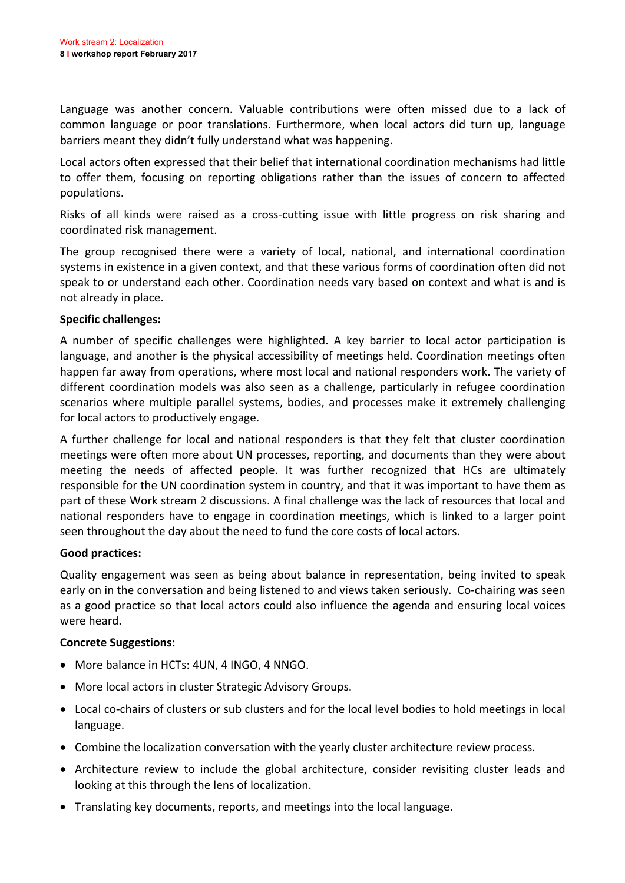Language was another concern. Valuable contributions were often missed due to a lack of common language or poor translations. Furthermore, when local actors did turn up, language barriers meant they didn't fully understand what was happening.

Local actors often expressed that their belief that international coordination mechanisms had little to offer them, focusing on reporting obligations rather than the issues of concern to affected populations.

Risks of all kinds were raised as a cross-cutting issue with little progress on risk sharing and coordinated risk management.

The group recognised there were a variety of local, national, and international coordination systems in existence in a given context, and that these various forms of coordination often did not speak to or understand each other. Coordination needs vary based on context and what is and is not already in place.

#### **Specific challenges:**

A number of specific challenges were highlighted. A key barrier to local actor participation is language, and another is the physical accessibility of meetings held. Coordination meetings often happen far away from operations, where most local and national responders work. The variety of different coordination models was also seen as a challenge, particularly in refugee coordination scenarios where multiple parallel systems, bodies, and processes make it extremely challenging for local actors to productively engage.

A further challenge for local and national responders is that they felt that cluster coordination meetings were often more about UN processes, reporting, and documents than they were about meeting the needs of affected people. It was further recognized that HCs are ultimately responsible for the UN coordination system in country, and that it was important to have them as part of these Work stream 2 discussions. A final challenge was the lack of resources that local and national responders have to engage in coordination meetings, which is linked to a larger point seen throughout the day about the need to fund the core costs of local actors.

#### **Good practices:**

Quality engagement was seen as being about balance in representation, being invited to speak early on in the conversation and being listened to and views taken seriously. Co-chairing was seen as a good practice so that local actors could also influence the agenda and ensuring local voices were heard.

#### **Concrete Suggestions:**

- More balance in HCTs: 4UN, 4 INGO, 4 NNGO.
- More local actors in cluster Strategic Advisory Groups.
- Local co-chairs of clusters or sub clusters and for the local level bodies to hold meetings in local language.
- Combine the localization conversation with the yearly cluster architecture review process.
- Architecture review to include the global architecture, consider revisiting cluster leads and looking at this through the lens of localization.
- Translating key documents, reports, and meetings into the local language.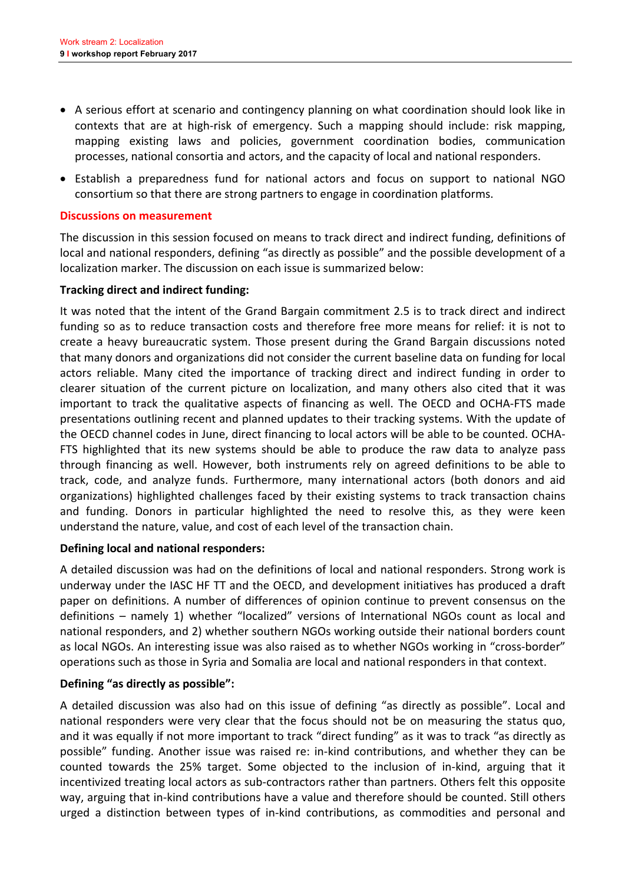- A serious effort at scenario and contingency planning on what coordination should look like in contexts that are at high-risk of emergency. Such a mapping should include: risk mapping, mapping existing laws and policies, government coordination bodies, communication processes, national consortia and actors, and the capacity of local and national responders.
- Establish a preparedness fund for national actors and focus on support to national NGO consortium so that there are strong partners to engage in coordination platforms.

#### **Discussions on measurement**

The discussion in this session focused on means to track direct and indirect funding, definitions of local and national responders, defining "as directly as possible" and the possible development of a localization marker. The discussion on each issue is summarized below:

#### **Tracking direct and indirect funding:**

It was noted that the intent of the Grand Bargain commitment 2.5 is to track direct and indirect funding so as to reduce transaction costs and therefore free more means for relief: it is not to create a heavy bureaucratic system. Those present during the Grand Bargain discussions noted that many donors and organizations did not consider the current baseline data on funding for local actors reliable. Many cited the importance of tracking direct and indirect funding in order to clearer situation of the current picture on localization, and many others also cited that it was important to track the qualitative aspects of financing as well. The OECD and OCHA-FTS made presentations outlining recent and planned updates to their tracking systems. With the update of the OECD channel codes in June, direct financing to local actors will be able to be counted. OCHA-FTS highlighted that its new systems should be able to produce the raw data to analyze pass through financing as well. However, both instruments rely on agreed definitions to be able to track, code, and analyze funds. Furthermore, many international actors (both donors and aid organizations) highlighted challenges faced by their existing systems to track transaction chains and funding. Donors in particular highlighted the need to resolve this, as they were keen understand the nature, value, and cost of each level of the transaction chain.

#### **Defining local and national responders:**

A detailed discussion was had on the definitions of local and national responders. Strong work is underway under the IASC HF TT and the OECD, and development initiatives has produced a draft paper on definitions. A number of differences of opinion continue to prevent consensus on the definitions – namely 1) whether "localized" versions of International NGOs count as local and national responders, and 2) whether southern NGOs working outside their national borders count as local NGOs. An interesting issue was also raised as to whether NGOs working in "cross-border" operations such as those in Syria and Somalia are local and national responders in that context.

#### Defining "as directly as possible":

A detailed discussion was also had on this issue of defining "as directly as possible". Local and national responders were very clear that the focus should not be on measuring the status quo, and it was equally if not more important to track "direct funding" as it was to track "as directly as possible" funding. Another issue was raised re: in-kind contributions, and whether they can be counted towards the 25% target. Some objected to the inclusion of in-kind, arguing that it incentivized treating local actors as sub-contractors rather than partners. Others felt this opposite way, arguing that in-kind contributions have a value and therefore should be counted. Still others urged a distinction between types of in-kind contributions, as commodities and personal and